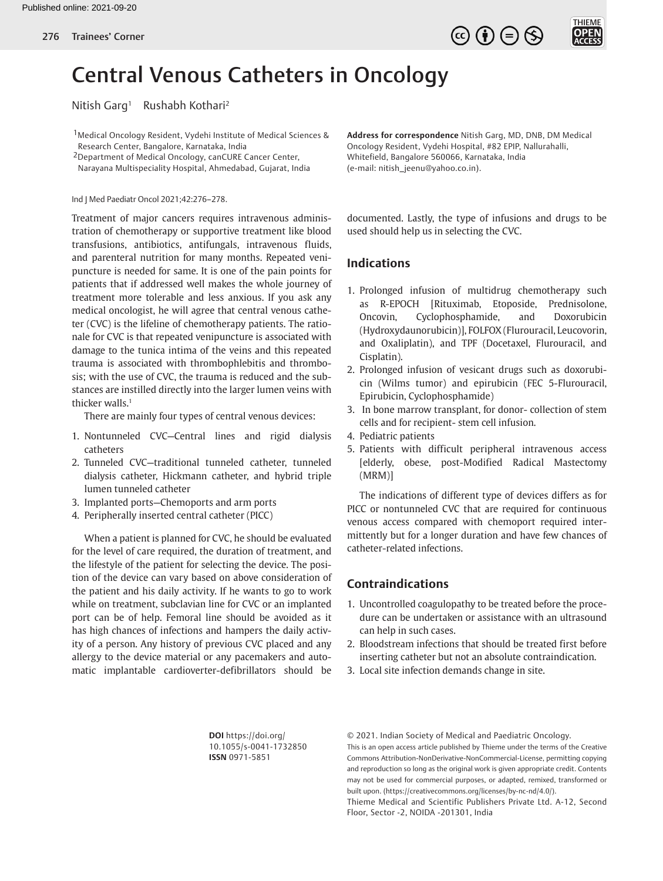



# Central Venous Catheters in Oncology

Nitish Garg<sup>1</sup> Rushabh Kothari<sup>2</sup>

1Medical Oncology Resident, Vydehi Institute of Medical Sciences & Research Center, Bangalore, Karnataka, India

2Department of Medical Oncology, canCURE Cancer Center, Narayana Multispeciality Hospital, Ahmedabad, Gujarat, India

Ind J Med Paediatr Oncol 2021;42:276–278.

Treatment of major cancers requires intravenous administration of chemotherapy or supportive treatment like blood transfusions, antibiotics, antifungals, intravenous fluids, and parenteral nutrition for many months. Repeated venipuncture is needed for same. It is one of the pain points for patients that if addressed well makes the whole journey of treatment more tolerable and less anxious. If you ask any medical oncologist, he will agree that central venous catheter (CVC) is the lifeline of chemotherapy patients. The rationale for CVC is that repeated venipuncture is associated with damage to the tunica intima of the veins and this repeated trauma is associated with thrombophlebitis and thrombosis; with the use of CVC, the trauma is reduced and the substances are instilled directly into the larger lumen veins with thicker walls.<sup>[1](#page-2-0)</sup>

<span id="page-0-0"></span>There are mainly four types of central venous devices:

- 1. Nontunneled CVC—Central lines and rigid dialysis catheters
- 2. Tunneled CVC—traditional tunneled catheter, tunneled dialysis catheter, Hickmann catheter, and hybrid triple lumen tunneled catheter
- 3. Implanted ports—Chemoports and arm ports
- 4. Peripherally inserted central catheter (PICC)

When a patient is planned for CVC, he should be evaluated for the level of care required, the duration of treatment, and the lifestyle of the patient for selecting the device. The position of the device can vary based on above consideration of the patient and his daily activity. If he wants to go to work while on treatment, subclavian line for CVC or an implanted port can be of help. Femoral line should be avoided as it has high chances of infections and hampers the daily activity of a person. Any history of previous CVC placed and any allergy to the device material or any pacemakers and automatic implantable cardioverter-defibrillators should be

**Address for correspondence** Nitish Garg, MD, DNB, DM Medical Oncology Resident, Vydehi Hospital, #82 EPIP, Nallurahalli, Whitefield, Bangalore 560066, Karnataka, India (e-mail: nitish\_jeenu@yahoo.co.in).

documented. Lastly, the type of infusions and drugs to be used should help us in selecting the CVC.

## **Indications**

- 1. Prolonged infusion of multidrug chemotherapy such as R-EPOCH [Rituximab, Etoposide, Prednisolone, Oncovin, Cyclophosphamide, and Doxorubicin (Hydroxydaunorubicin)], FOLFOX (Flurouracil, Leucovorin, and Oxaliplatin), and TPF (Docetaxel, Flurouracil, and Cisplatin).
- 2. Prolonged infusion of vesicant drugs such as doxorubicin (Wilms tumor) and epirubicin (FEC 5-Flurouracil, Epirubicin, Cyclophosphamide)
- 3. In bone marrow transplant, for donor- collection of stem cells and for recipient- stem cell infusion.
- 4. Pediatric patients
- 5. Patients with difficult peripheral intravenous access [elderly, obese, post-Modified Radical Mastectomy (MRM)]

The indications of different type of devices differs as for PICC or nontunneled CVC that are required for continuous venous access compared with chemoport required intermittently but for a longer duration and have few chances of catheter-related infections.

## **Contraindications**

- 1. Uncontrolled coagulopathy to be treated before the procedure can be undertaken or assistance with an ultrasound can help in such cases.
- 2. Bloodstream infections that should be treated first before inserting catheter but not an absolute contraindication.
- 3. Local site infection demands change in site.

**DOI** https://doi.org/ 10.1055/s-0041-1732850 **ISSN** 0971-5851

© 2021. Indian Society of Medical and Paediatric Oncology. This is an open access article published by Thieme under the terms of the Creative Commons Attribution-NonDerivative-NonCommercial-License, permitting copying and reproduction so long as the original work is given appropriate credit. Contents may not be used for commercial purposes, or adapted, remixed, transformed or built upon. (https://creativecommons.org/licenses/by-nc-nd/4.0/).

Thieme Medical and Scientific Publishers Private Ltd. A-12, Second Floor, Sector -2, NOIDA -201301, India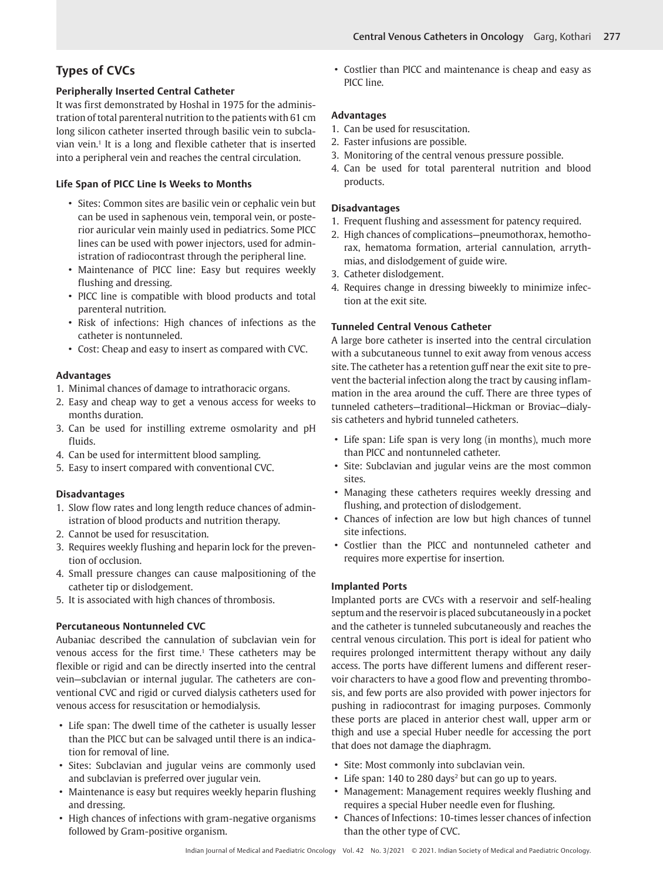## **Types of CVCs**

## **Peripherally Inserted Central Catheter**

It was first demonstrated by Hoshal in 1975 for the administration of total parenteral nutrition to the patients with 61 cm long silicon catheter inserted through basilic vein to subclavian vein.<sup>1</sup> It is a long and flexible catheter that is inserted into a peripheral vein and reaches the central circulation.

## **Life Span of PICC Line Is Weeks to Months**

- Sites: Common sites are basilic vein or cephalic vein but can be used in saphenous vein, temporal vein, or posterior auricular vein mainly used in pediatrics. Some PICC lines can be used with power injectors, used for administration of radiocontrast through the peripheral line.
- Maintenance of PICC line: Easy but requires weekly flushing and dressing.
- PICC line is compatible with blood products and total parenteral nutrition.
- Risk of infections: High chances of infections as the catheter is nontunneled.
- Cost: Cheap and easy to insert as compared with CVC.

## **Advantages**

- 1. Minimal chances of damage to intrathoracic organs.
- 2. Easy and cheap way to get a venous access for weeks to months duration.
- 3. Can be used for instilling extreme osmolarity and pH fluids.
- 4. Can be used for intermittent blood sampling.
- 5. Easy to insert compared with conventional CVC.

## **Disadvantages**

- 1. Slow flow rates and long length reduce chances of administration of blood products and nutrition therapy.
- 2. Cannot be used for resuscitation.
- 3. Requires weekly flushing and heparin lock for the prevention of occlusion.
- 4. Small pressure changes can cause malpositioning of the catheter tip or dislodgement.
- 5. It is associated with high chances of thrombosis.

## **Percutaneous Nontunneled CVC**

Aubaniac described the cannulation of subclavian vein for  $v$ enous access for the first time.<sup>1</sup> These catheters may be flexible or rigid and can be directly inserted into the central vein—subclavian or internal jugular. The catheters are conventional CVC and rigid or curved dialysis catheters used for venous access for resuscitation or hemodialysis.

- Life span: The dwell time of the catheter is usually lesser than the PICC but can be salvaged until there is an indication for removal of line.
- Sites: Subclavian and jugular veins are commonly used and subclavian is preferred over jugular vein.
- Maintenance is easy but requires weekly heparin flushing and dressing.
- High chances of infections with gram-negative organisms followed by Gram-positive organism.

• Costlier than PICC and maintenance is cheap and easy as PICC line.

## **Advantages**

- 1. Can be used for resuscitation.
- 2. Faster infusions are possible.
- 3. Monitoring of the central venous pressure possible.
- 4. Can be used for total parenteral nutrition and blood products.

#### **Disadvantages**

- 1. Frequent flushing and assessment for patency required.
- 2. High chances of complications—pneumothorax, hemothorax, hematoma formation, arterial cannulation, arrythmias, and dislodgement of guide wire.
- 3. Catheter dislodgement.
- 4. Requires change in dressing biweekly to minimize infection at the exit site.

## **Tunneled Central Venous Catheter**

A large bore catheter is inserted into the central circulation with a subcutaneous tunnel to exit away from venous access site. The catheter has a retention guff near the exit site to prevent the bacterial infection along the tract by causing inflammation in the area around the cuff. There are three types of tunneled catheters—traditional—Hickman or Broviac—dialysis catheters and hybrid tunneled catheters.

- Life span: Life span is very long (in months), much more than PICC and nontunneled catheter.
- Site: Subclavian and jugular veins are the most common sites.
- Managing these catheters requires weekly dressing and flushing, and protection of dislodgement.
- Chances of infection are low but high chances of tunnel site infections.
- Costlier than the PICC and nontunneled catheter and requires more expertise for insertion.

## **Implanted Ports**

Implanted ports are CVCs with a reservoir and self-healing septum and the reservoir is placed subcutaneously in a pocket and the catheter is tunneled subcutaneously and reaches the central venous circulation. This port is ideal for patient who requires prolonged intermittent therapy without any daily access. The ports have different lumens and different reservoir characters to have a good flow and preventing thrombosis, and few ports are also provided with power injectors for pushing in radiocontrast for imaging purposes. Commonly these ports are placed in anterior chest wall, upper arm or thigh and use a special Huber needle for accessing the port that does not damage the diaphragm.

- Site: Most commonly into subclavian vein.
- Life span: 140 to 280 days<sup>2</sup> but can go up to years.
- Management: Management requires weekly flushing and requires a special Huber needle even for flushing.
- Chances of Infections: 10-times lesser chances of infection than the other type of CVC.